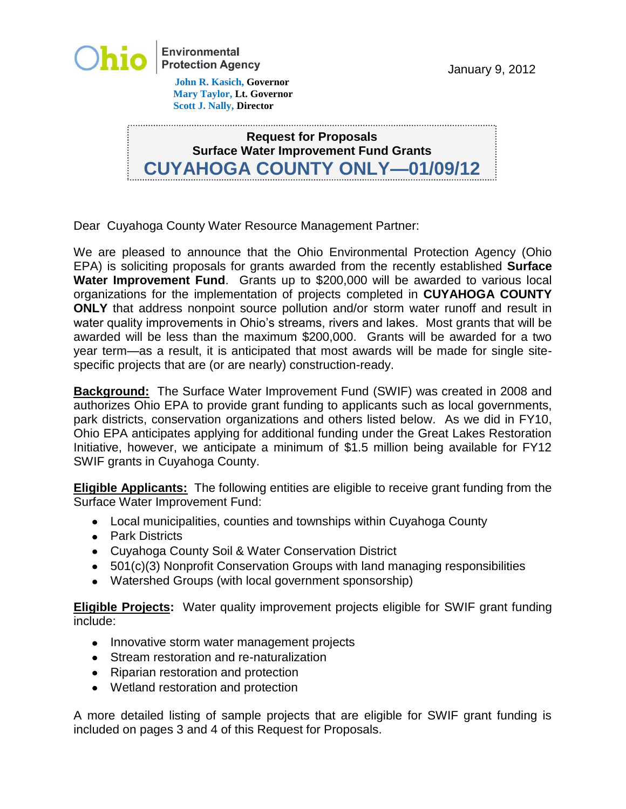

 **John R. Kasich, Governor Mary Taylor, Lt. Governor Scott J. Nally, Director**

## **Request for Proposals Surface Water Improvement Fund Grants CUYAHOGA COUNTY ONLY—01/09/12**

Dear Cuyahoga County Water Resource Management Partner:

We are pleased to announce that the Ohio Environmental Protection Agency (Ohio EPA) is soliciting proposals for grants awarded from the recently established **Surface Water Improvement Fund**. Grants up to \$200,000 will be awarded to various local organizations for the implementation of projects completed in **CUYAHOGA COUNTY ONLY** that address nonpoint source pollution and/or storm water runoff and result in water quality improvements in Ohio's streams, rivers and lakes. Most grants that will be awarded will be less than the maximum \$200,000. Grants will be awarded for a two year term—as a result, it is anticipated that most awards will be made for single sitespecific projects that are (or are nearly) construction-ready.

**Background:** The Surface Water Improvement Fund (SWIF) was created in 2008 and authorizes Ohio EPA to provide grant funding to applicants such as local governments, park districts, conservation organizations and others listed below. As we did in FY10, Ohio EPA anticipates applying for additional funding under the Great Lakes Restoration Initiative, however, we anticipate a minimum of \$1.5 million being available for FY12 SWIF grants in Cuyahoga County.

**Eligible Applicants:** The following entities are eligible to receive grant funding from the Surface Water Improvement Fund:

- Local municipalities, counties and townships within Cuyahoga County
- Park Districts
- Cuyahoga County Soil & Water Conservation District
- 501(c)(3) Nonprofit Conservation Groups with land managing responsibilities
- Watershed Groups (with local government sponsorship)

**Eligible Projects:** Water quality improvement projects eligible for SWIF grant funding include:

- Innovative storm water management projects
- Stream restoration and re-naturalization
- Riparian restoration and protection
- Wetland restoration and protection

A more detailed listing of sample projects that are eligible for SWIF grant funding is included on pages 3 and 4 of this Request for Proposals.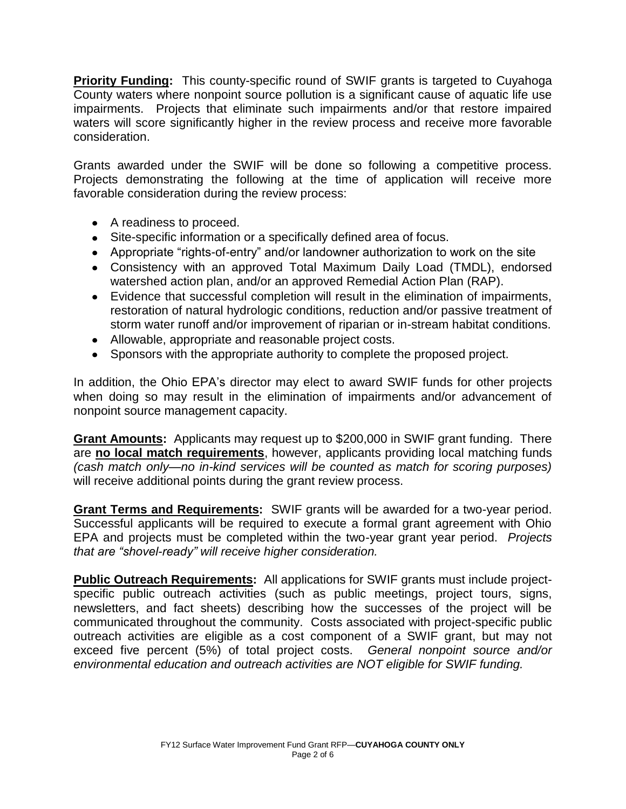**Priority Funding:** This county-specific round of SWIF grants is targeted to Cuyahoga County waters where nonpoint source pollution is a significant cause of aquatic life use impairments. Projects that eliminate such impairments and/or that restore impaired waters will score significantly higher in the review process and receive more favorable consideration.

Grants awarded under the SWIF will be done so following a competitive process. Projects demonstrating the following at the time of application will receive more favorable consideration during the review process:

- A readiness to proceed.
- Site-specific information or a specifically defined area of focus.
- Appropriate "rights-of-entry" and/or landowner authorization to work on the site
- Consistency with an approved Total Maximum Daily Load (TMDL), endorsed watershed action plan, and/or an approved Remedial Action Plan (RAP).
- Evidence that successful completion will result in the elimination of impairments, restoration of natural hydrologic conditions, reduction and/or passive treatment of storm water runoff and/or improvement of riparian or in-stream habitat conditions.
- Allowable, appropriate and reasonable project costs.
- Sponsors with the appropriate authority to complete the proposed project.

In addition, the Ohio EPA's director may elect to award SWIF funds for other projects when doing so may result in the elimination of impairments and/or advancement of nonpoint source management capacity.

**Grant Amounts:** Applicants may request up to \$200,000 in SWIF grant funding. There are **no local match requirements**, however, applicants providing local matching funds *(cash match only—no in-kind services will be counted as match for scoring purposes)* will receive additional points during the grant review process.

**Grant Terms and Requirements:** SWIF grants will be awarded for a two-year period. Successful applicants will be required to execute a formal grant agreement with Ohio EPA and projects must be completed within the two-year grant year period. *Projects that are "shovel-ready" will receive higher consideration.*

**Public Outreach Requirements:** All applications for SWIF grants must include projectspecific public outreach activities (such as public meetings, project tours, signs, newsletters, and fact sheets) describing how the successes of the project will be communicated throughout the community. Costs associated with project-specific public outreach activities are eligible as a cost component of a SWIF grant, but may not exceed five percent (5%) of total project costs. *General nonpoint source and/or environmental education and outreach activities are NOT eligible for SWIF funding.*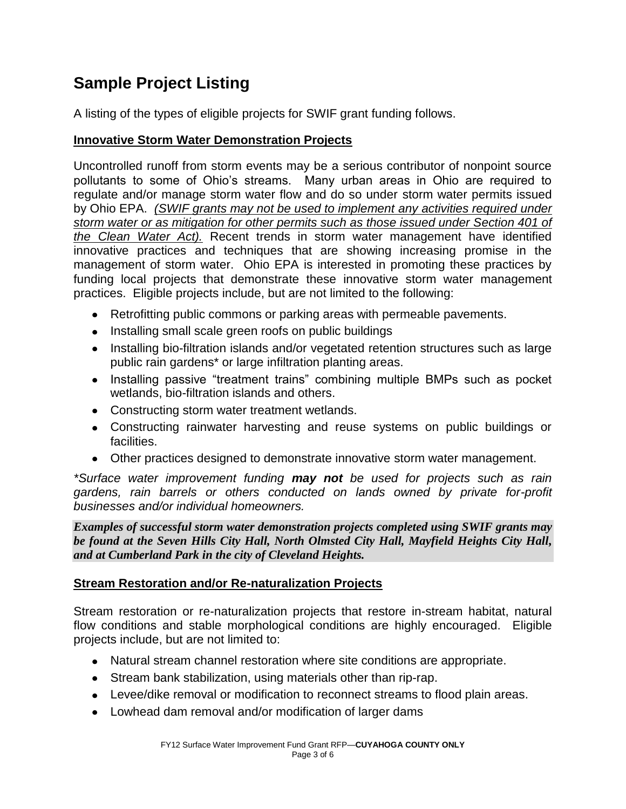# **Sample Project Listing**

A listing of the types of eligible projects for SWIF grant funding follows.

## **Innovative Storm Water Demonstration Projects**

Uncontrolled runoff from storm events may be a serious contributor of nonpoint source pollutants to some of Ohio's streams. Many urban areas in Ohio are required to regulate and/or manage storm water flow and do so under storm water permits issued by Ohio EPA. *(SWIF grants may not be used to implement any activities required under storm water or as mitigation for other permits such as those issued under Section 401 of the Clean Water Act).* Recent trends in storm water management have identified innovative practices and techniques that are showing increasing promise in the management of storm water. Ohio EPA is interested in promoting these practices by funding local projects that demonstrate these innovative storm water management practices. Eligible projects include, but are not limited to the following:

- Retrofitting public commons or parking areas with permeable pavements.
- Installing small scale green roofs on public buildings
- Installing bio-filtration islands and/or vegetated retention structures such as large public rain gardens\* or large infiltration planting areas.
- Installing passive "treatment trains" combining multiple BMPs such as pocket wetlands, bio-filtration islands and others.
- Constructing storm water treatment wetlands.
- Constructing rainwater harvesting and reuse systems on public buildings or facilities.
- Other practices designed to demonstrate innovative storm water management.

*\*Surface water improvement funding may not be used for projects such as rain gardens, rain barrels or others conducted on lands owned by private for-profit businesses and/or individual homeowners.*

*Examples of successful storm water demonstration projects completed using SWIF grants may be found at the Seven Hills City Hall, North Olmsted City Hall, Mayfield Heights City Hall, and at Cumberland Park in the city of Cleveland Heights.*

### **Stream Restoration and/or Re-naturalization Projects**

Stream restoration or re-naturalization projects that restore in-stream habitat, natural flow conditions and stable morphological conditions are highly encouraged. Eligible projects include, but are not limited to:

- Natural stream channel restoration where site conditions are appropriate.
- Stream bank stabilization, using materials other than rip-rap.
- Levee/dike removal or modification to reconnect streams to flood plain areas.
- Lowhead dam removal and/or modification of larger dams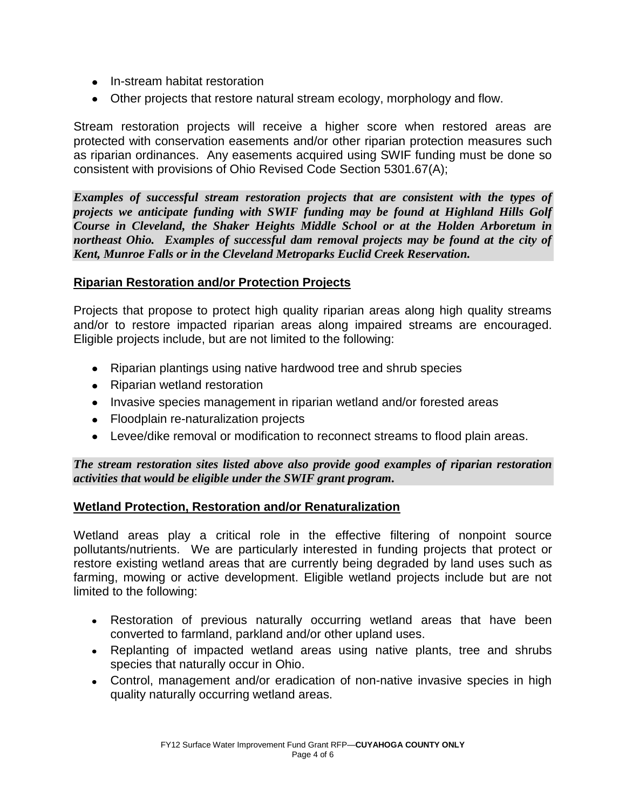- In-stream habitat restoration
- Other projects that restore natural stream ecology, morphology and flow.

Stream restoration projects will receive a higher score when restored areas are protected with conservation easements and/or other riparian protection measures such as riparian ordinances. Any easements acquired using SWIF funding must be done so consistent with provisions of Ohio Revised Code Section 5301.67(A);

*Examples of successful stream restoration projects that are consistent with the types of projects we anticipate funding with SWIF funding may be found at Highland Hills Golf Course in Cleveland, the Shaker Heights Middle School or at the Holden Arboretum in northeast Ohio.**Examples of successful dam removal projects may be found at the city of Kent, Munroe Falls or in the Cleveland Metroparks Euclid Creek Reservation.*

#### **Riparian Restoration and/or Protection Projects**

Projects that propose to protect high quality riparian areas along high quality streams and/or to restore impacted riparian areas along impaired streams are encouraged. Eligible projects include, but are not limited to the following:

- Riparian plantings using native hardwood tree and shrub species
- Riparian wetland restoration
- Invasive species management in riparian wetland and/or forested areas
- Floodplain re-naturalization projects
- Levee/dike removal or modification to reconnect streams to flood plain areas.

*The stream restoration sites listed above also provide good examples of riparian restoration activities that would be eligible under the SWIF grant program.*

#### **Wetland Protection, Restoration and/or Renaturalization**

Wetland areas play a critical role in the effective filtering of nonpoint source pollutants/nutrients. We are particularly interested in funding projects that protect or restore existing wetland areas that are currently being degraded by land uses such as farming, mowing or active development. Eligible wetland projects include but are not limited to the following:

- Restoration of previous naturally occurring wetland areas that have been converted to farmland, parkland and/or other upland uses.
- Replanting of impacted wetland areas using native plants, tree and shrubs species that naturally occur in Ohio.
- Control, management and/or eradication of non-native invasive species in high quality naturally occurring wetland areas.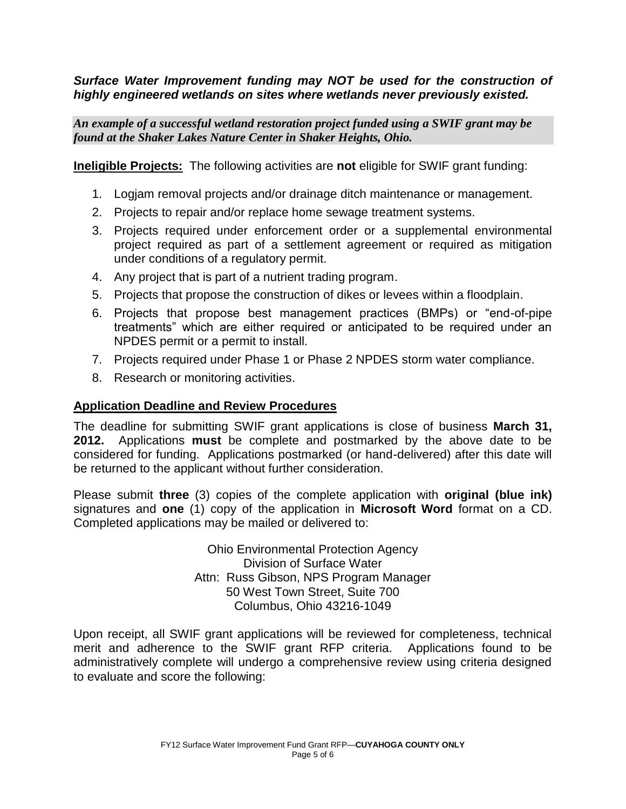*Surface Water Improvement funding may NOT be used for the construction of highly engineered wetlands on sites where wetlands never previously existed.*

*An example of a successful wetland restoration project funded using a SWIF grant may be found at the Shaker Lakes Nature Center in Shaker Heights, Ohio.*

**Ineligible Projects:** The following activities are **not** eligible for SWIF grant funding:

- 1. Logjam removal projects and/or drainage ditch maintenance or management.
- 2. Projects to repair and/or replace home sewage treatment systems.
- 3. Projects required under enforcement order or a supplemental environmental project required as part of a settlement agreement or required as mitigation under conditions of a regulatory permit.
- 4. Any project that is part of a nutrient trading program.
- 5. Projects that propose the construction of dikes or levees within a floodplain.
- 6. Projects that propose best management practices (BMPs) or "end-of-pipe treatments" which are either required or anticipated to be required under an NPDES permit or a permit to install.
- 7. Projects required under Phase 1 or Phase 2 NPDES storm water compliance.
- 8. Research or monitoring activities.

#### **Application Deadline and Review Procedures**

The deadline for submitting SWIF grant applications is close of business **March 31, 2012.** Applications **must** be complete and postmarked by the above date to be considered for funding. Applications postmarked (or hand-delivered) after this date will be returned to the applicant without further consideration.

Please submit **three** (3) copies of the complete application with **original (blue ink)**  signatures and **one** (1) copy of the application in **Microsoft Word** format on a CD. Completed applications may be mailed or delivered to:

> Ohio Environmental Protection Agency Division of Surface Water Attn: Russ Gibson, NPS Program Manager 50 West Town Street, Suite 700 Columbus, Ohio 43216-1049

Upon receipt, all SWIF grant applications will be reviewed for completeness, technical merit and adherence to the SWIF grant RFP criteria. Applications found to be administratively complete will undergo a comprehensive review using criteria designed to evaluate and score the following: